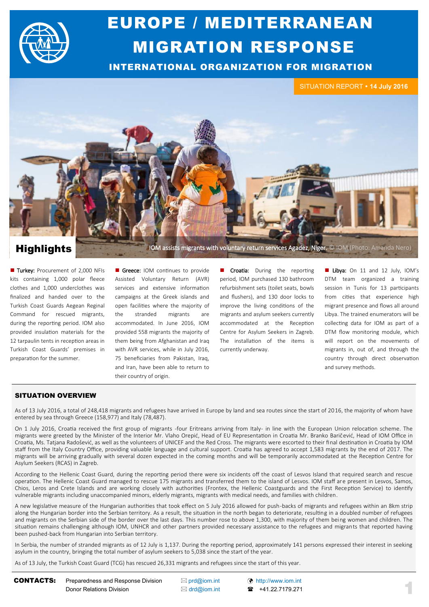

# EUROPE / MEDITERRANEAN MIGRATION RESPONSE

INTERNATIONAL ORGANIZATION FOR MIGRATION

SITUATION REPORT **14 July 2016**



Turkey: Procurement of 2,000 NFIs kits containing 1,000 polar fleece clothes and 1,000 underclothes was finalized and handed over to the Turkish Coast Guards Aegean Reginal Command for rescued migrants, during the reporting period. IOM also provided insulation materials for the 12 tarpaulin tents in reception areas in Turkish Coast Guards' premises in preparation for the summer.

Greece: IOM continues to provide Assisted Voluntary Return (AVR) services and extensive information campaigns at the Greek islands and open facilities where the majority of the stranded migrants are accommodated. In June 2016, IOM provided 558 migrants the majority of them being from Afghanistan and Iraq with AVR services, while in July 2016, 75 beneficiaries from Pakistan, Iraq, and Iran, have been able to return to their country of origin.

Croatia: During the reporting period, IOM purchased 130 bathroom refurbishment sets (toilet seats, bowls and flushers), and 130 door locks to improve the living conditions of the migrants and asylum seekers currently accommodated at the Reception Centre for Asylum Seekers in Zagreb. The installation of the items is currently underway.

Libya: On 11 and 12 July, IOM's DTM team organized a training session in Tunis for 13 participants from cities that experience high migrant presence and flows all around Libya. The trained enumerators will be collecting data for IOM as part of a DTM flow monitoring module, which will report on the movements of migrants in, out of, and through the country through direct observation and survey methods.

### SITUATION OVERVIEW

As of 13 July 2016, a total of 248,418 migrants and refugees have arrived in Europe by land and sea routes since the start of 2016, the majority of whom have entered by sea through Greece (158,977) and Italy (78,487).

On 1 July 2016, Croatia received the first group of migrants -four Eritreans arriving from Italy- in line with the European Union relocation scheme. The migrants were greeted by the Minister of the Interior Mr. Vlaho Orepić, Head of EU Representation in Croatia Mr. Branko Baričević, Head of IOM Office in Croatia, Ms. Tatjana Radošević, as well as the volunteers of UNICEF and the Red Cross. The migrants were escorted to their final destination in Croatia by IOM staff from the Italy Country Office, providing valuable language and cultural support. Croatia has agreed to accept 1,583 migrants by the end of 2017. The migrants will be arriving gradually with several dozen expected in the coming months and will be temporarily accommodated at the Reception Centre for Asylum Seekers (RCAS) in Zagreb.

According to the Hellenic Coast Guard, during the reporting period there were six incidents off the coast of Lesvos Island that required search and rescue operation. The Hellenic Coast Guard managed to rescue 175 migrants and transferred them to the island of Lesvos. IOM staff are present in Lesvos, Samos, Chios, Leros and Crete Islands and are working closely with authorities (Frontex, the Hellenic Coastguards and the First Reception Service) to identify vulnerable migrants including unaccompanied minors, elderly migrants, migrants with medical needs, and families with children.

A new legislative measure of the Hungarian authorities that took effect on 5 July 2016 allowed for push-backs of migrants and refugees within an 8km strip along the Hungarian border into the Serbian territory. As a result, the situation in the north began to deteriorate, resulting in a doubled number of refugees and migrants on the Serbian side of the border over the last days. This number rose to above 1,300, with majority of them being women and children. The situation remains challenging although IOM, UNHCR and other partners provided necessary assistance to the refugees and migrants that reported having been pushed-back from Hungarian into Serbian territory.

In Serbia, the number of stranded migrants as of 12 July is 1,137. During the reporting period, approximately 141 persons expressed their interest in seeking asylum in the country, bringing the total number of asylum seekers to 5,038 since the start of the year.

As of 13 July, the Turkish Coast Guard (TCG) has rescued 26,331 migrants and refugees since the start of this year.

| CONTACTS: | Preparedness and Response Division | $\boxtimes$ prd@iom.int | <b>↑ http://www.iom.int</b> |
|-----------|------------------------------------|-------------------------|-----------------------------|
|           | Donor Relations Division           | $\boxtimes$ drd@iom.int | ■ +41.22.7179.271           |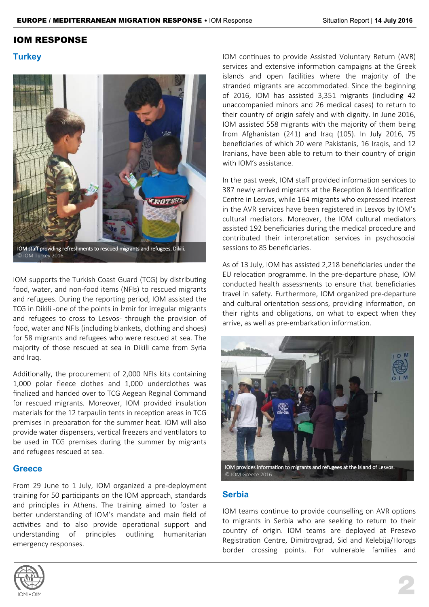### IOM RESPONSE

### **Turkey**



IOM staff providing refreshments to rescued migrants and refugees, Dikili. © IOM Turkey 2016

IOM supports the Turkish Coast Guard (TCG) by distributing food, water, and non-food items (NFIs) to rescued migrants and refugees. During the reporting period, IOM assisted the TCG in Dikili -one of the points in İzmir for irregular migrants and refugees to cross to Lesvos- through the provision of food, water and NFIs (including blankets, clothing and shoes) for 58 migrants and refugees who were rescued at sea. The majority of those rescued at sea in Dikili came from Syria and Iraq.

Additionally, the procurement of 2,000 NFIs kits containing 1,000 polar fleece clothes and 1,000 underclothes was finalized and handed over to TCG Aegean Reginal Command for rescued migrants. Moreover, IOM provided insulation materials for the 12 tarpaulin tents in reception areas in TCG premises in preparation for the summer heat. IOM will also provide water dispensers, vertical freezers and ventilators to be used in TCG premises during the summer by migrants and refugees rescued at sea.

### **Greece**

From 29 June to 1 July, IOM organized a pre-deployment training for 50 participants on the IOM approach, standards and principles in Athens. The training aimed to foster a better understanding of IOM's mandate and main field of activities and to also provide operational support and understanding of principles outlining humanitarian emergency responses.

IOM continues to provide Assisted Voluntary Return (AVR) services and extensive information campaigns at the Greek islands and open facilities where the majority of the stranded migrants are accommodated. Since the beginning of 2016, IOM has assisted 3,351 migrants (including 42 unaccompanied minors and 26 medical cases) to return to their country of origin safely and with dignity. In June 2016, IOM assisted 558 migrants with the majority of them being from Afghanistan (241) and Iraq (105). In July 2016, 75 beneficiaries of which 20 were Pakistanis, 16 Iraqis, and 12 Iranians, have been able to return to their country of origin with IOM's assistance.

In the past week, IOM staff provided information services to 387 newly arrived migrants at the Reception & Identification Centre in Lesvos, while 164 migrants who expressed interest in the AVR services have been registered in Lesvos by IOM's cultural mediators. Moreover, the IOM cultural mediators assisted 192 beneficiaries during the medical procedure and contributed their interpretation services in psychosocial sessions to 85 beneficiaries.

As of 13 July, IOM has assisted 2,218 beneficiaries under the EU relocation programme. In the pre-departure phase, IOM conducted health assessments to ensure that beneficiaries travel in safety. Furthermore, IOM organized pre-departure and cultural orientation sessions, providing information, on their rights and obligations, on what to expect when they arrive, as well as pre-embarkation information.



© IOM Greece 2016

### **Serbia**

IOM teams continue to provide counselling on AVR options to migrants in Serbia who are seeking to return to their country of origin. IOM teams are deployed at Presevo Registration Centre, Dimitrovgrad, Sid and Kelebija/Horogs border crossing points. For vulnerable families and

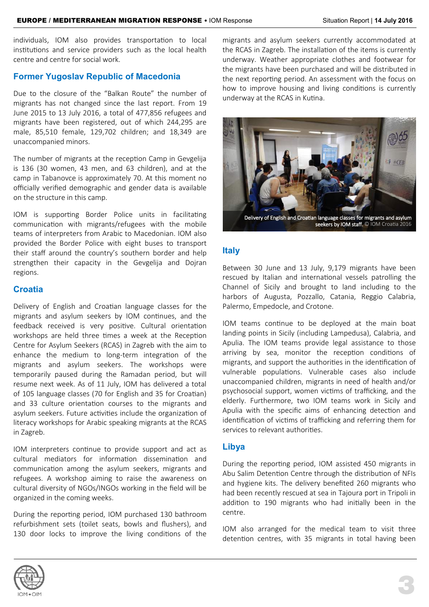individuals, IOM also provides transportation to local institutions and service providers such as the local health centre and centre for social work.

### **Former Yugoslav Republic of Macedonia**

Due to the closure of the "Balkan Route" the number of migrants has not changed since the last report. From 19 June 2015 to 13 July 2016, a total of 477,856 refugees and migrants have been registered, out of which 244,295 are male, 85,510 female, 129,702 children; and 18,349 are unaccompanied minors.

The number of migrants at the reception Camp in Gevgelija is 136 (30 women, 43 men, and 63 children), and at the camp in Tabanovce is approximately 70. At this moment no officially verified demographic and gender data is available on the structure in this camp.

IOM is supporting Border Police units in facilitating communication with migrants/refugees with the mobile teams of interpreters from Arabic to Macedonian. IOM also provided the Border Police with eight buses to transport their staff around the country's southern border and help strengthen their capacity in the Gevgelija and Dojran regions.

## **Croatia**

Delivery of English and Croatian language classes for the migrants and asylum seekers by IOM continues, and the feedback received is very positive. Cultural orientation workshops are held three times a week at the Reception Centre for Asylum Seekers (RCAS) in Zagreb with the aim to enhance the medium to long-term integration of the migrants and asylum seekers. The workshops were temporarily paused during the Ramadan period, but will resume next week. As of 11 July, IOM has delivered a total of 105 language classes (70 for English and 35 for Croatian) and 33 culture orientation courses to the migrants and asylum seekers. Future activities include the organization of literacy workshops for Arabic speaking migrants at the RCAS in Zagreb.

IOM interpreters continue to provide support and act as cultural mediators for information dissemination and communication among the asylum seekers, migrants and refugees. A workshop aiming to raise the awareness on cultural diversity of NGOs/INGOs working in the field will be organized in the coming weeks.

During the reporting period, IOM purchased 130 bathroom refurbishment sets (toilet seats, bowls and flushers), and 130 door locks to improve the living conditions of the migrants and asylum seekers currently accommodated at the RCAS in Zagreb. The installation of the items is currently underway. Weather appropriate clothes and footwear for the migrants have been purchased and will be distributed in the next reporting period. An assessment with the focus on how to improve housing and living conditions is currently underway at the RCAS in Kutina.



## **Italy**

Between 30 June and 13 July, 9,179 migrants have been rescued by Italian and international vessels patrolling the Channel of Sicily and brought to land including to the harbors of Augusta, Pozzallo, Catania, Reggio Calabria, Palermo, Empedocle, and Crotone.

IOM teams continue to be deployed at the main boat landing points in Sicily (including Lampedusa), Calabria, and Apulia. The IOM teams provide legal assistance to those arriving by sea, monitor the reception conditions of migrants, and support the authorities in the identification of vulnerable populations. Vulnerable cases also include unaccompanied children, migrants in need of health and/or psychosocial support, women victims of trafficking, and the elderly. Furthermore, two IOM teams work in Sicily and Apulia with the specific aims of enhancing detection and identification of victims of trafficking and referring them for services to relevant authorities.

### **Libya**

During the reporting period, IOM assisted 450 migrants in Abu Salim Detention Centre through the distribution of NFIs and hygiene kits. The delivery benefited 260 migrants who had been recently rescued at sea in Tajoura port in Tripoli in addition to 190 migrants who had initially been in the centre.

IOM also arranged for the medical team to visit three detention centres, with 35 migrants in total having been

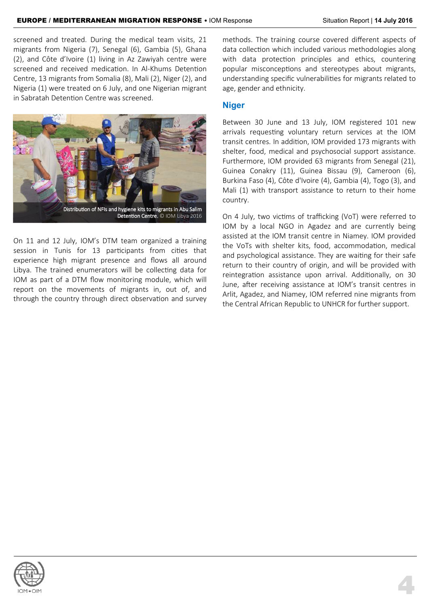screened and treated. During the medical team visits, 21 migrants from Nigeria (7), Senegal (6), Gambia (5), Ghana (2), and Côte d'Ivoire (1) living in Az Zawiyah centre were screened and received medication. In Al-Khums Detention Centre, 13 migrants from Somalia (8), Mali (2), Niger (2), and Nigeria (1) were treated on 6 July, and one Nigerian migrant in Sabratah Detention Centre was screened.



On 11 and 12 July, IOM's DTM team organized a training session in Tunis for 13 participants from cities that experience high migrant presence and flows all around Libya. The trained enumerators will be collecting data for IOM as part of a DTM flow monitoring module, which will report on the movements of migrants in, out of, and through the country through direct observation and survey

methods. The training course covered different aspects of data collection which included various methodologies along with data protection principles and ethics, countering popular misconceptions and stereotypes about migrants, understanding specific vulnerabilities for migrants related to age, gender and ethnicity.

### **Niger**

Between 30 June and 13 July, IOM registered 101 new arrivals requesting voluntary return services at the IOM transit centres. In addition, IOM provided 173 migrants with shelter, food, medical and psychosocial support assistance. Furthermore, IOM provided 63 migrants from Senegal (21), Guinea Conakry (11), Guinea Bissau (9), Cameroon (6), Burkina Faso (4), Côte d'Ivoire (4), Gambia (4), Togo (3), and Mali (1) with transport assistance to return to their home country.

On 4 July, two victims of trafficking (VoT) were referred to IOM by a local NGO in Agadez and are currently being assisted at the IOM transit centre in Niamey. IOM provided the VoTs with shelter kits, food, accommodation, medical and psychological assistance. They are waiting for their safe return to their country of origin, and will be provided with reintegration assistance upon arrival. Additionally, on 30 June, after receiving assistance at IOM's transit centres in Arlit, Agadez, and Niamey, IOM referred nine migrants from the Central African Republic to UNHCR for further support.

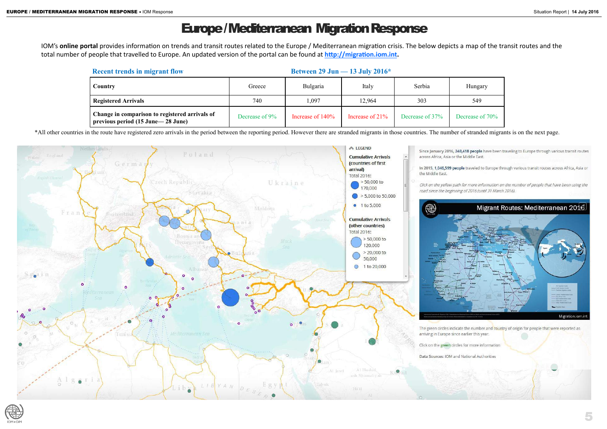# Europe / Mediterranean Migration Response

IOM's **online portal** provides information on trends and transit routes related to the Europe / Mediterranean migration crisis. The below depicts a map of the transit routes and the total number of people that travelled to Europe. An updated version of the portal can be found at **[http://migration.iom.int.](http://migration.iom.int)** 

\*All other countries in the route have registered zero arrivals in the period between the reporting period. However there are stranded migrants in those countries. The number of stranded migrants is on the next page.





Decrease of 70%

| <b>Recent trends in migrant flow</b>                                                  |                |                     | Between 29 Jun $-$ 13 July 2016 $*$ |                 |             |
|---------------------------------------------------------------------------------------|----------------|---------------------|-------------------------------------|-----------------|-------------|
| Country                                                                               | Greece         | Bulgaria            | Italy                               | Serbia          | Hungary     |
| <b>Registered Arrivals</b>                                                            | 740            | .,097               | 12,964                              | 303             | 549         |
| Change in comparison to registered arrivals of<br>previous period (15 June – 28 June) | Decrease of 9% | Increase of $140\%$ | Increase of $21\%$                  | Decrease of 37% | Decrease of |